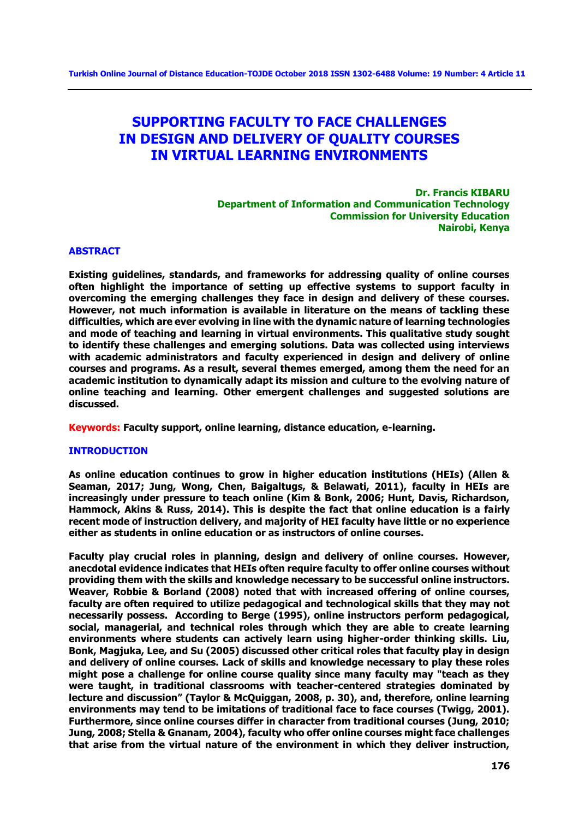# **SUPPORTING FACULTY TO FACE CHALLENGES IN DESIGN AND DELIVERY OF QUALITY COURSES IN VIRTUAL LEARNING ENVIRONMENTS**

**Dr. Francis KIBARU Department of Information and Communication Technology Commission for University Education Nairobi, Kenya**

## **ABSTRACT**

**Existing guidelines, standards, and frameworks for addressing quality of online courses often highlight the importance of setting up effective systems to support faculty in overcoming the emerging challenges they face in design and delivery of these courses. However, not much information is available in literature on the means of tackling these difficulties, which are ever evolving in line with the dynamic nature of learning technologies and mode of teaching and learning in virtual environments. This qualitative study sought to identify these challenges and emerging solutions. Data was collected using interviews with academic administrators and faculty experienced in design and delivery of online courses and programs. As a result, several themes emerged, among them the need for an academic institution to dynamically adapt its mission and culture to the evolving nature of online teaching and learning. Other emergent challenges and suggested solutions are discussed.** 

**Keywords: Faculty support, online learning, distance education, e-learning.**

#### **INTRODUCTION**

**As online education continues to grow in higher education institutions (HEIs) (Allen & Seaman, 2017; Jung, Wong, Chen, Baigaltugs, & Belawati, 2011), faculty in HEIs are increasingly under pressure to teach online (Kim & Bonk, 2006; Hunt, Davis, Richardson, Hammock, Akins & Russ, 2014). This is despite the fact that online education is a fairly recent mode of instruction delivery, and majority of HEI faculty have little or no experience either as students in online education or as instructors of online courses.** 

**Faculty play crucial roles in planning, design and delivery of online courses. However, anecdotal evidence indicates that HEIs often require faculty to offer online courses without providing them with the skills and knowledge necessary to be successful online instructors. Weaver, Robbie & Borland (2008) noted that with increased offering of online courses, faculty are often required to utilize pedagogical and technological skills that they may not necessarily possess. According to Berge (1995), online instructors perform pedagogical, social, managerial, and technical roles through which they are able to create learning environments where students can actively learn using higher-order thinking skills. Liu, Bonk, Magjuka, Lee, and Su (2005) discussed other critical roles that faculty play in design and delivery of online courses. Lack of skills and knowledge necessary to play these roles might pose a challenge for online course quality since many faculty may "teach as they were taught, in traditional classrooms with teacher-centered strategies dominated by lecture and discussion" (Taylor & McQuiggan, 2008, p. 30), and, therefore, online learning environments may tend to be imitations of traditional face to face courses (Twigg, 2001). Furthermore, since online courses differ in character from traditional courses (Jung, 2010; Jung, 2008; Stella & Gnanam, 2004), faculty who offer online courses might face challenges that arise from the virtual nature of the environment in which they deliver instruction,**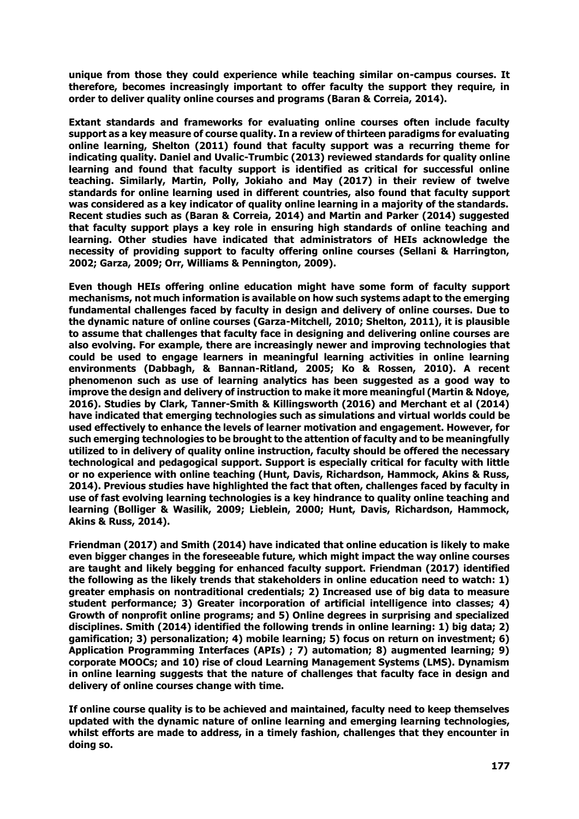**unique from those they could experience while teaching similar on-campus courses. It therefore, becomes increasingly important to offer faculty the support they require, in order to deliver quality online courses and programs (Baran & Correia, 2014).** 

**Extant standards and frameworks for evaluating online courses often include faculty support as a key measure of course quality. In a review of thirteen paradigms for evaluating online learning, Shelton (2011) found that faculty support was a recurring theme for indicating quality. Daniel and Uvalic-Trumbic (2013) reviewed standards for quality online learning and found that faculty support is identified as critical for successful online teaching. Similarly, Martin, Polly, Jokiaho and May (2017) in their review of twelve standards for online learning used in different countries, also found that faculty support was considered as a key indicator of quality online learning in a majority of the standards. Recent studies such as (Baran & Correia, 2014) and Martin and Parker (2014) suggested that faculty support plays a key role in ensuring high standards of online teaching and learning. Other studies have indicated that administrators of HEIs acknowledge the necessity of providing support to faculty offering online courses (Sellani & Harrington, 2002; Garza, 2009; Orr, Williams & Pennington, 2009).** 

**Even though HEIs offering online education might have some form of faculty support mechanisms, not much information is available on how such systems adapt to the emerging fundamental challenges faced by faculty in design and delivery of online courses. Due to the dynamic nature of online courses (Garza-Mitchell, 2010; Shelton, 2011), it is plausible to assume that challenges that faculty face in designing and delivering online courses are also evolving. For example, there are increasingly newer and improving technologies that could be used to engage learners in meaningful learning activities in online learning environments (Dabbagh, & Bannan-Ritland, 2005; Ko & Rossen, 2010). A recent phenomenon such as use of learning analytics has been suggested as a good way to improve the design and delivery of instruction to make it more meaningful (Martin & Ndoye, 2016). Studies by Clark, Tanner-Smith & Killingsworth (2016) and Merchant et al (2014) have indicated that emerging technologies such as simulations and virtual worlds could be used effectively to enhance the levels of learner motivation and engagement. However, for such emerging technologies to be brought to the attention of faculty and to be meaningfully utilized to in delivery of quality online instruction, faculty should be offered the necessary technological and pedagogical support. Support is especially critical for faculty with little or no experience with online teaching (Hunt, Davis, Richardson, Hammock, Akins & Russ, 2014). Previous studies have highlighted the fact that often, challenges faced by faculty in use of fast evolving learning technologies is a key hindrance to quality online teaching and learning (Bolliger & Wasilik, 2009; Lieblein, 2000; Hunt, Davis, Richardson, Hammock, Akins & Russ, 2014).** 

**Friendman (2017) and Smith (2014) have indicated that online education is likely to make even bigger changes in the foreseeable future, which might impact the way online courses are taught and likely begging for enhanced faculty support. Friendman (2017) identified the following as the likely trends that stakeholders in online education need to watch: 1) greater emphasis on nontraditional credentials; 2) Increased use of big data to measure student performance; 3) Greater incorporation of artificial intelligence into classes; 4) Growth of nonprofit online programs; and 5) Online degrees in surprising and specialized disciplines. Smith (2014) identified the following trends in online learning: 1) big data; 2) gamification; 3) personalization; 4) mobile learning; 5) focus on return on investment; 6) Application Programming Interfaces (APIs) ; 7) automation; 8) augmented learning; 9) corporate MOOCs; and 10) rise of cloud Learning Management Systems (LMS). Dynamism in online learning suggests that the nature of challenges that faculty face in design and delivery of online courses change with time.** 

**If online course quality is to be achieved and maintained, faculty need to keep themselves updated with the dynamic nature of online learning and emerging learning technologies, whilst efforts are made to address, in a timely fashion, challenges that they encounter in doing so.**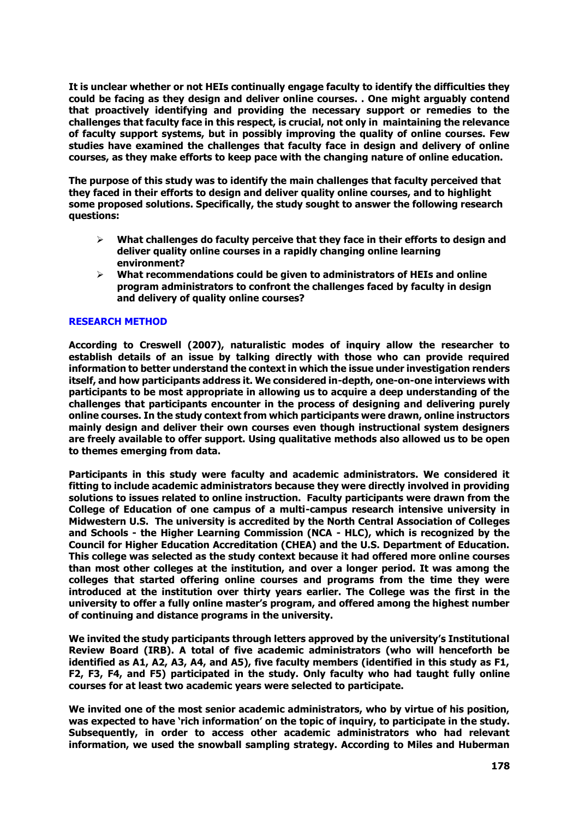**It is unclear whether or not HEIs continually engage faculty to identify the difficulties they could be facing as they design and deliver online courses. . One might arguably contend that proactively identifying and providing the necessary support or remedies to the challenges that faculty face in this respect, is crucial, not only in maintaining the relevance of faculty support systems, but in possibly improving the quality of online courses. Few studies have examined the challenges that faculty face in design and delivery of online courses, as they make efforts to keep pace with the changing nature of online education.**

**The purpose of this study was to identify the main challenges that faculty perceived that they faced in their efforts to design and deliver quality online courses, and to highlight some proposed solutions. Specifically, the study sought to answer the following research questions:** 

- **What challenges do faculty perceive that they face in their efforts to design and deliver quality online courses in a rapidly changing online learning environment?**
- **What recommendations could be given to administrators of HEIs and online program administrators to confront the challenges faced by faculty in design and delivery of quality online courses?**

# **RESEARCH METHOD**

**According to Creswell (2007), naturalistic modes of inquiry allow the researcher to establish details of an issue by talking directly with those who can provide required information to better understand the context in which the issue under investigation renders itself, and how participants address it. We considered in-depth, one-on-one interviews with participants to be most appropriate in allowing us to acquire a deep understanding of the challenges that participants encounter in the process of designing and delivering purely online courses. In the study context from which participants were drawn, online instructors mainly design and deliver their own courses even though instructional system designers are freely available to offer support. Using qualitative methods also allowed us to be open to themes emerging from data.** 

**Participants in this study were faculty and academic administrators. We considered it fitting to include academic administrators because they were directly involved in providing solutions to issues related to online instruction. Faculty participants were drawn from the College of Education of one campus of a multi-campus research intensive university in Midwestern U.S. The university is accredited by the North Central Association of Colleges and Schools - the Higher Learning Commission (NCA - HLC), which is recognized by the Council for Higher Education Accreditation (CHEA) and the U.S. Department of Education. This college was selected as the study context because it had offered more online courses than most other colleges at the institution, and over a longer period. It was among the colleges that started offering online courses and programs from the time they were introduced at the institution over thirty years earlier. The College was the first in the university to offer a fully online master's program, and offered among the highest number of continuing and distance programs in the university.** 

**We invited the study participants through letters approved by the university's Institutional Review Board (IRB). A total of five academic administrators (who will henceforth be identified as A1, A2, A3, A4, and A5), five faculty members (identified in this study as F1, F2, F3, F4, and F5) participated in the study. Only faculty who had taught fully online courses for at least two academic years were selected to participate.** 

**We invited one of the most senior academic administrators, who by virtue of his position, was expected to have 'rich information' on the topic of inquiry, to participate in the study. Subsequently, in order to access other academic administrators who had relevant information, we used the snowball sampling strategy. According to Miles and Huberman**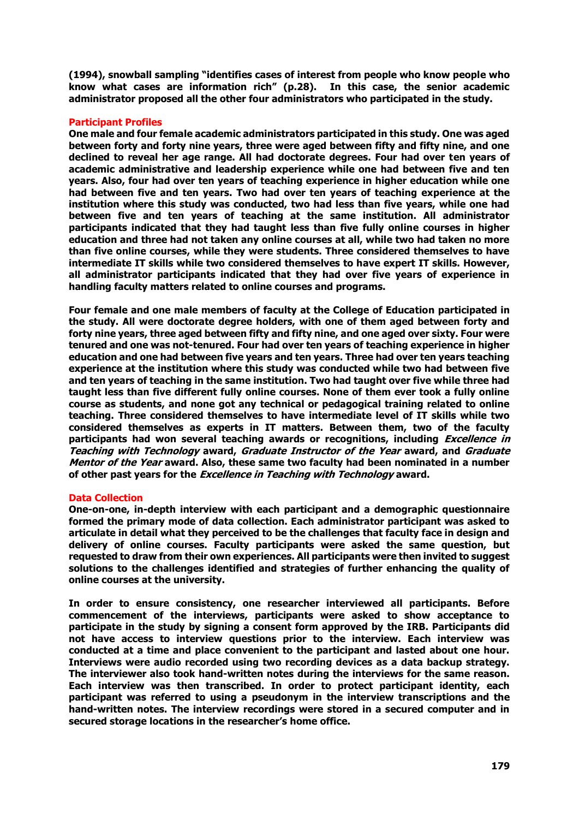**(1994), snowball sampling "identifies cases of interest from people who know people who know what cases are information rich" (p.28). In this case, the senior academic administrator proposed all the other four administrators who participated in the study.** 

## **Participant Profiles**

**One male and four female academic administrators participated in this study. One was aged between forty and forty nine years, three were aged between fifty and fifty nine, and one declined to reveal her age range. All had doctorate degrees. Four had over ten years of academic administrative and leadership experience while one had between five and ten years. Also, four had over ten years of teaching experience in higher education while one had between five and ten years. Two had over ten years of teaching experience at the institution where this study was conducted, two had less than five years, while one had between five and ten years of teaching at the same institution. All administrator participants indicated that they had taught less than five fully online courses in higher education and three had not taken any online courses at all, while two had taken no more than five online courses, while they were students. Three considered themselves to have intermediate IT skills while two considered themselves to have expert IT skills. However, all administrator participants indicated that they had over five years of experience in handling faculty matters related to online courses and programs.** 

**Four female and one male members of faculty at the College of Education participated in the study. All were doctorate degree holders, with one of them aged between forty and forty nine years, three aged between fifty and fifty nine, and one aged over sixty. Four were tenured and one was not-tenured. Four had over ten years of teaching experience in higher education and one had between five years and ten years. Three had over ten years teaching experience at the institution where this study was conducted while two had between five and ten years of teaching in the same institution. Two had taught over five while three had taught less than five different fully online courses. None of them ever took a fully online course as students, and none got any technical or pedagogical training related to online teaching. Three considered themselves to have intermediate level of IT skills while two considered themselves as experts in IT matters. Between them, two of the faculty participants had won several teaching awards or recognitions, including Excellence in Teaching with Technology award, Graduate Instructor of the Year award, and Graduate Mentor of the Year award. Also, these same two faculty had been nominated in a number of other past years for the Excellence in Teaching with Technology award.** 

#### **Data Collection**

**One-on-one, in-depth interview with each participant and a demographic questionnaire formed the primary mode of data collection. Each administrator participant was asked to articulate in detail what they perceived to be the challenges that faculty face in design and delivery of online courses. Faculty participants were asked the same question, but requested to draw from their own experiences. All participants were then invited to suggest solutions to the challenges identified and strategies of further enhancing the quality of online courses at the university.** 

**In order to ensure consistency, one researcher interviewed all participants. Before commencement of the interviews, participants were asked to show acceptance to participate in the study by signing a consent form approved by the IRB. Participants did not have access to interview questions prior to the interview. Each interview was conducted at a time and place convenient to the participant and lasted about one hour. Interviews were audio recorded using two recording devices as a data backup strategy. The interviewer also took hand-written notes during the interviews for the same reason. Each interview was then transcribed. In order to protect participant identity, each participant was referred to using a pseudonym in the interview transcriptions and the hand-written notes. The interview recordings were stored in a secured computer and in secured storage locations in the researcher's home office.**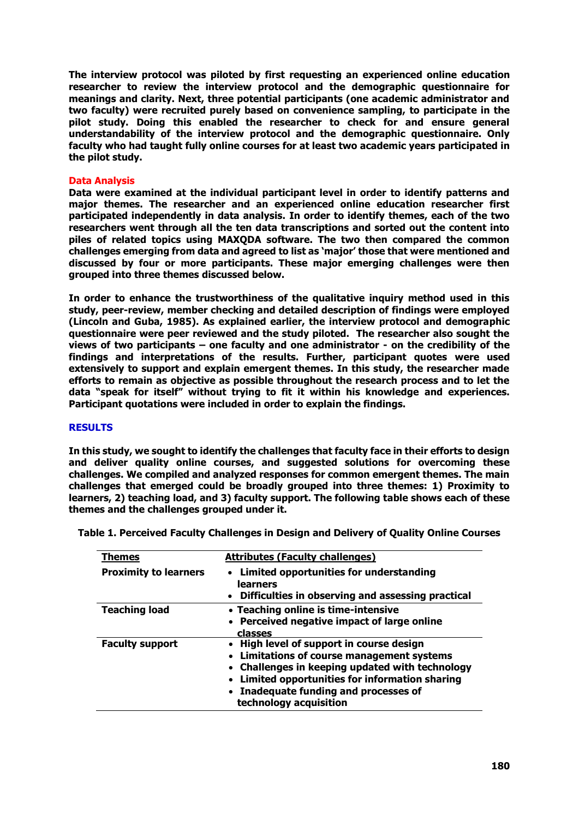**The interview protocol was piloted by first requesting an experienced online education researcher to review the interview protocol and the demographic questionnaire for meanings and clarity. Next, three potential participants (one academic administrator and two faculty) were recruited purely based on convenience sampling, to participate in the pilot study. Doing this enabled the researcher to check for and ensure general understandability of the interview protocol and the demographic questionnaire. Only faculty who had taught fully online courses for at least two academic years participated in the pilot study.** 

## **Data Analysis**

**Data were examined at the individual participant level in order to identify patterns and major themes. The researcher and an experienced online education researcher first participated independently in data analysis. In order to identify themes, each of the two researchers went through all the ten data transcriptions and sorted out the content into piles of related topics using MAXQDA software. The two then compared the common challenges emerging from data and agreed to list as 'major' those that were mentioned and discussed by four or more participants. These major emerging challenges were then grouped into three themes discussed below.** 

**In order to enhance the trustworthiness of the qualitative inquiry method used in this study, peer-review, member checking and detailed description of findings were employed (Lincoln and Guba, 1985). As explained earlier, the interview protocol and demographic questionnaire were peer reviewed and the study piloted. The researcher also sought the views of two participants – one faculty and one administrator - on the credibility of the findings and interpretations of the results. Further, participant quotes were used extensively to support and explain emergent themes. In this study, the researcher made efforts to remain as objective as possible throughout the research process and to let the data "speak for itself" without trying to fit it within his knowledge and experiences. Participant quotations were included in order to explain the findings.**

#### **RESULTS**

**In this study, we sought to identify the challenges that faculty face in their efforts to design and deliver quality online courses, and suggested solutions for overcoming these challenges. We compiled and analyzed responses for common emergent themes. The main challenges that emerged could be broadly grouped into three themes: 1) Proximity to learners, 2) teaching load, and 3) faculty support. The following table shows each of these themes and the challenges grouped under it.**

| Themes                       | <b>Attributes (Faculty challenges)</b>                                                                                                                                                                                                                          |
|------------------------------|-----------------------------------------------------------------------------------------------------------------------------------------------------------------------------------------------------------------------------------------------------------------|
| <b>Proximity to learners</b> | • Limited opportunities for understanding<br>learners<br>• Difficulties in observing and assessing practical                                                                                                                                                    |
| <b>Teaching load</b>         | • Teaching online is time-intensive<br>• Perceived negative impact of large online<br>classes                                                                                                                                                                   |
| <b>Faculty support</b>       | • High level of support in course design<br>• Limitations of course management systems<br>• Challenges in keeping updated with technology<br>• Limited opportunities for information sharing<br>• Inadequate funding and processes of<br>technology acquisition |

**Table 1. Perceived Faculty Challenges in Design and Delivery of Quality Online Courses**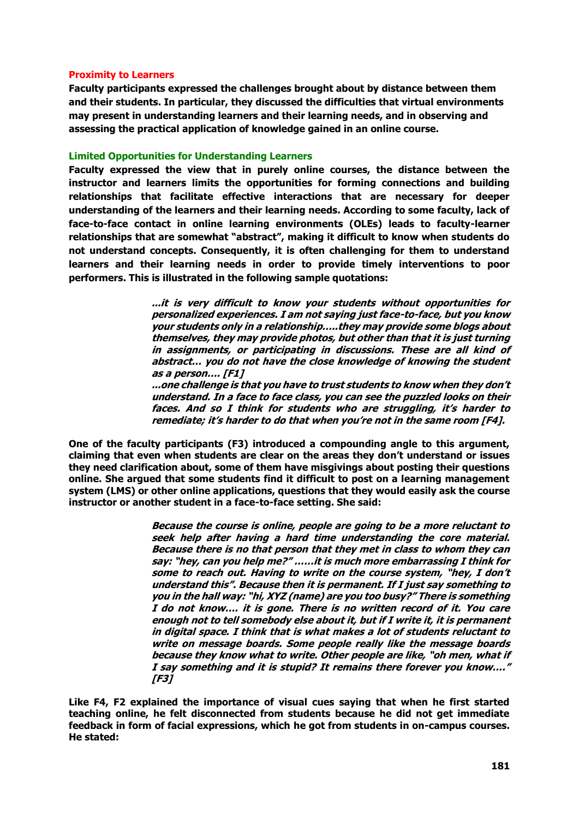## **Proximity to Learners**

**Faculty participants expressed the challenges brought about by distance between them and their students. In particular, they discussed the difficulties that virtual environments may present in understanding learners and their learning needs, and in observing and assessing the practical application of knowledge gained in an online course.** 

## **Limited Opportunities for Understanding Learners**

**Faculty expressed the view that in purely online courses, the distance between the instructor and learners limits the opportunities for forming connections and building relationships that facilitate effective interactions that are necessary for deeper understanding of the learners and their learning needs. According to some faculty, lack of face-to-face contact in online learning environments (OLEs) leads to faculty-learner relationships that are somewhat "abstract", making it difficult to know when students do not understand concepts. Consequently, it is often challenging for them to understand learners and their learning needs in order to provide timely interventions to poor performers. This is illustrated in the following sample quotations:**

> **...it is very difficult to know your students without opportunities for personalized experiences. I am not saying just face-to-face, but you know your students only in a relationship…..they may provide some blogs about themselves, they may provide photos, but other than that it is just turning in assignments, or participating in discussions. These are all kind of abstract… you do not have the close knowledge of knowing the student as a person…. [F1]**

> **...one challenge is that you have to trust students to know when they don't understand. In a face to face class, you can see the puzzled looks on their faces. And so I think for students who are struggling, it's harder to remediate; it's harder to do that when you're not in the same room [F4].**

**One of the faculty participants (F3) introduced a compounding angle to this argument, claiming that even when students are clear on the areas they don't understand or issues they need clarification about, some of them have misgivings about posting their questions online. She argued that some students find it difficult to post on a learning management system (LMS) or other online applications, questions that they would easily ask the course instructor or another student in a face-to-face setting. She said:** 

> **Because the course is online, people are going to be a more reluctant to seek help after having a hard time understanding the core material. Because there is no that person that they met in class to whom they can say: "hey, can you help me?" ……it is much more embarrassing I think for some to reach out. Having to write on the course system, "hey, I don't understand this". Because then it is permanent. If I just say something to you in the hall way: "hi, XYZ (name) are you too busy?" There is something I do not know…. it is gone. There is no written record of it. You care enough not to tell somebody else about it, but if I write it, it is permanent in digital space. I think that is what makes a lot of students reluctant to write on message boards. Some people really like the message boards because they know what to write. Other people are like, "oh men, what if I say something and it is stupid? It remains there forever you know…." [F3]**

**Like F4, F2 explained the importance of visual cues saying that when he first started teaching online, he felt disconnected from students because he did not get immediate feedback in form of facial expressions, which he got from students in on-campus courses. He stated:**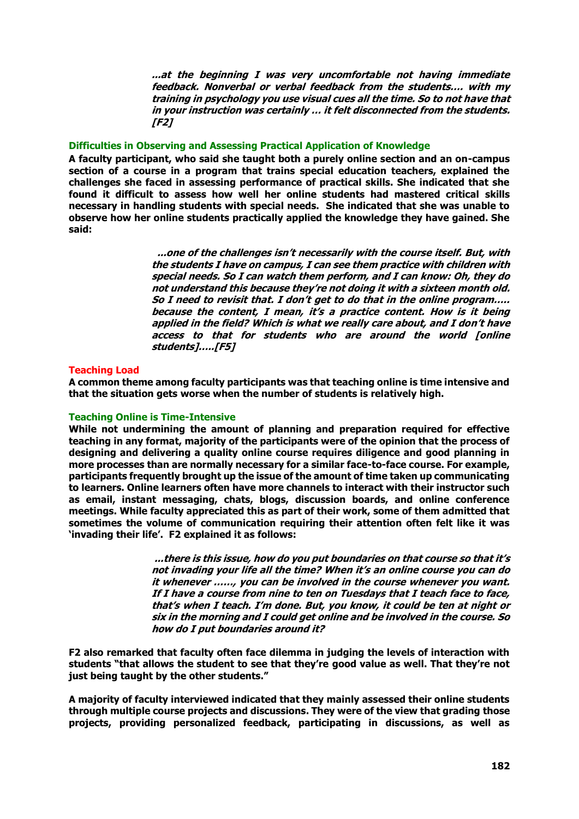**...at the beginning I was very uncomfortable not having immediate feedback. Nonverbal or verbal feedback from the students…. with my training in psychology you use visual cues all the time. So to not have that in your instruction was certainly … it felt disconnected from the students. [F2]**

# **Difficulties in Observing and Assessing Practical Application of Knowledge**

**A faculty participant, who said she taught both a purely online section and an on-campus section of a course in a program that trains special education teachers, explained the challenges she faced in assessing performance of practical skills. She indicated that she found it difficult to assess how well her online students had mastered critical skills necessary in handling students with special needs. She indicated that she was unable to observe how her online students practically applied the knowledge they have gained. She said:**

> **...one of the challenges isn't necessarily with the course itself. But, with the students I have on campus, I can see them practice with children with special needs. So I can watch them perform, and I can know: Oh, they do not understand this because they're not doing it with a sixteen month old. So I need to revisit that. I don't get to do that in the online program….. because the content, I mean, it's a practice content. How is it being applied in the field? Which is what we really care about, and I don't have access to that for students who are around the world [online students]…..[F5]**

#### **Teaching Load**

**A common theme among faculty participants was that teaching online is time intensive and that the situation gets worse when the number of students is relatively high.**

#### **Teaching Online is Time-Intensive**

**While not undermining the amount of planning and preparation required for effective teaching in any format, majority of the participants were of the opinion that the process of designing and delivering a quality online course requires diligence and good planning in more processes than are normally necessary for a similar face-to-face course. For example, participants frequently brought up the issue of the amount of time taken up communicating to learners. Online learners often have more channels to interact with their instructor such as email, instant messaging, chats, blogs, discussion boards, and online conference meetings. While faculty appreciated this as part of their work, some of them admitted that sometimes the volume of communication requiring their attention often felt like it was 'invading their life'. F2 explained it as follows:**

> **...there is this issue, how do you put boundaries on that course so that it's not invading your life all the time? When it's an online course you can do it whenever ……, you can be involved in the course whenever you want. If I have a course from nine to ten on Tuesdays that I teach face to face, that's when I teach. I'm done. But, you know, it could be ten at night or six in the morning and I could get online and be involved in the course. So how do I put boundaries around it?**

**F2 also remarked that faculty often face dilemma in judging the levels of interaction with students "that allows the student to see that they're good value as well. That they're not just being taught by the other students."**

**A majority of faculty interviewed indicated that they mainly assessed their online students through multiple course projects and discussions. They were of the view that grading those projects, providing personalized feedback, participating in discussions, as well as**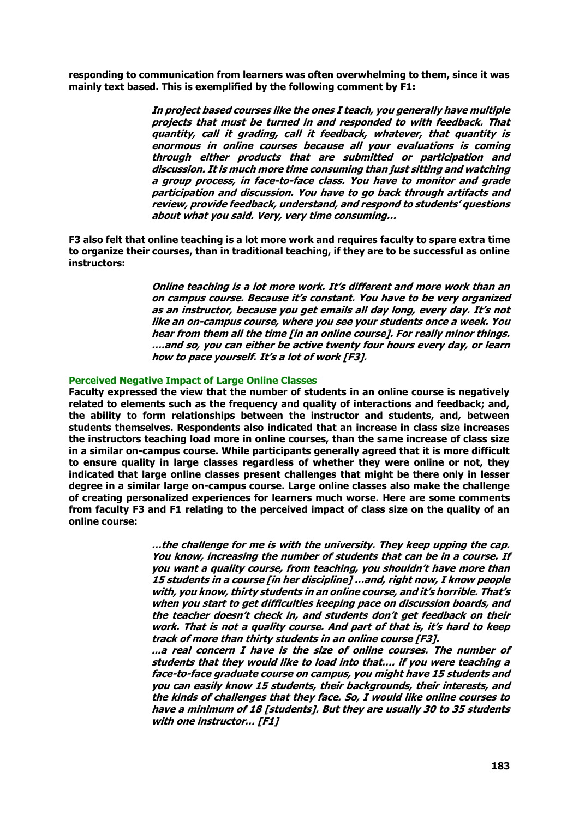**responding to communication from learners was often overwhelming to them, since it was mainly text based. This is exemplified by the following comment by F1:**

> **In project based courses like the ones I teach, you generally have multiple projects that must be turned in and responded to with feedback. That quantity, call it grading, call it feedback, whatever, that quantity is enormous in online courses because all your evaluations is coming through either products that are submitted or participation and discussion. It is much more time consuming than just sitting and watching a group process, in face-to-face class. You have to monitor and grade participation and discussion. You have to go back through artifacts and review, provide feedback, understand, and respond to students' questions about what you said. Very, very time consuming…**

**F3 also felt that online teaching is a lot more work and requires faculty to spare extra time to organize their courses, than in traditional teaching, if they are to be successful as online instructors:**

> **Online teaching is a lot more work. It's different and more work than an on campus course. Because it's constant. You have to be very organized as an instructor, because you get emails all day long, every day. It's not like an on-campus course, where you see your students once a week. You hear from them all the time [in an online course]. For really minor things. ….and so, you can either be active twenty four hours every day, or learn how to pace yourself. It's a lot of work [F3].**

#### **Perceived Negative Impact of Large Online Classes**

**Faculty expressed the view that the number of students in an online course is negatively related to elements such as the frequency and quality of interactions and feedback; and, the ability to form relationships between the instructor and students, and, between students themselves. Respondents also indicated that an increase in class size increases the instructors teaching load more in online courses, than the same increase of class size in a similar on-campus course. While participants generally agreed that it is more difficult to ensure quality in large classes regardless of whether they were online or not, they indicated that large online classes present challenges that might be there only in lesser degree in a similar large on-campus course. Large online classes also make the challenge of creating personalized experiences for learners much worse. Here are some comments from faculty F3 and F1 relating to the perceived impact of class size on the quality of an online course:** 

> **…the challenge for me is with the university. They keep upping the cap. You know, increasing the number of students that can be in a course. If you want a quality course, from teaching, you shouldn't have more than 15 students in a course [in her discipline] …and, right now, I know people with, you know, thirty students in an online course, and it's horrible. That's when you start to get difficulties keeping pace on discussion boards, and the teacher doesn't check in, and students don't get feedback on their work. That is not a quality course. And part of that is, it's hard to keep track of more than thirty students in an online course [F3].**

> **...a real concern I have is the size of online courses. The number of students that they would like to load into that…. if you were teaching a face-to-face graduate course on campus, you might have 15 students and you can easily know 15 students, their backgrounds, their interests, and the kinds of challenges that they face. So, I would like online courses to have a minimum of 18 [students]. But they are usually 30 to 35 students with one instructor… [F1]**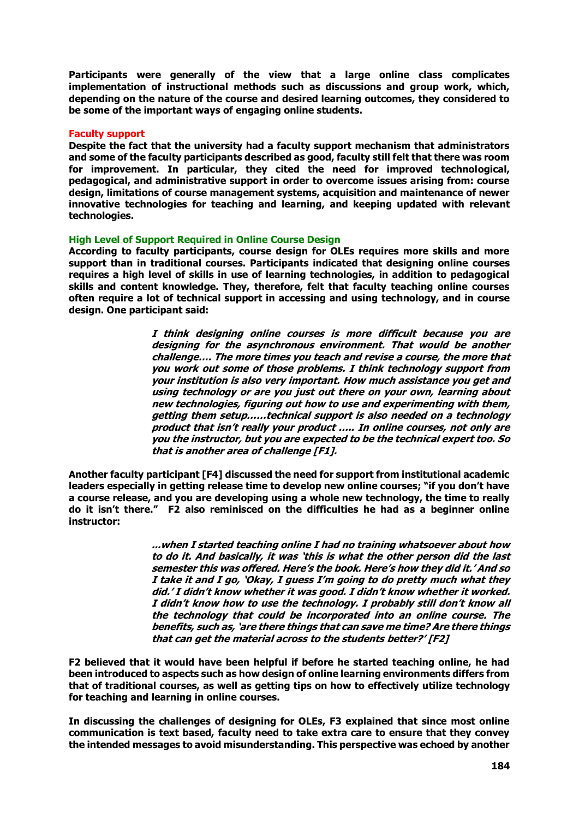**Participants were generally of the view that a large online class complicates implementation of instructional methods such as discussions and group work, which, depending on the nature of the course and desired learning outcomes, they considered to be some of the important ways of engaging online students.**

## **Faculty support**

**Despite the fact that the university had a faculty support mechanism that administrators and some of the faculty participants described as good, faculty still felt that there was room for improvement. In particular, they cited the need for improved technological, pedagogical, and administrative support in order to overcome issues arising from: course design, limitations of course management systems, acquisition and maintenance of newer innovative technologies for teaching and learning, and keeping updated with relevant technologies.** 

## **High Level of Support Required in Online Course Design**

**According to faculty participants, course design for OLEs requires more skills and more support than in traditional courses. Participants indicated that designing online courses requires a high level of skills in use of learning technologies, in addition to pedagogical skills and content knowledge. They, therefore, felt that faculty teaching online courses often require a lot of technical support in accessing and using technology, and in course design. One participant said:**

> **I think designing online courses is more difficult because you are designing for the asynchronous environment. That would be another challenge…. The more times you teach and revise a course, the more that you work out some of those problems. I think technology support from your institution is also very important. How much assistance you get and using technology or are you just out there on your own, learning about new technologies, figuring out how to use and experimenting with them, getting them setup……technical support is also needed on a technology product that isn't really your product ….. In online courses, not only are you the instructor, but you are expected to be the technical expert too. So that is another area of challenge [F1].**

**Another faculty participant [F4] discussed the need for support from institutional academic leaders especially in getting release time to develop new online courses; "if you don't have a course release, and you are developing using a whole new technology, the time to really do it isn't there." F2 also reminisced on the difficulties he had as a beginner online instructor:**

> **...when I started teaching online I had no training whatsoever about how to do it. And basically, it was 'this is what the other person did the last semester this was offered. Here's the book. Here's how they did it.' And so I take it and I go, 'Okay, I guess I'm going to do pretty much what they did.' I didn't know whether it was good. I didn't know whether it worked. I didn't know how to use the technology. I probably still don't know all the technology that could be incorporated into an online course. The benefits, such as, 'are there things that can save me time? Are there things that can get the material across to the students better?' [F2]**

**F2 believed that it would have been helpful if before he started teaching online, he had been introduced to aspects such as how design of online learning environments differs from that of traditional courses, as well as getting tips on how to effectively utilize technology for teaching and learning in online courses.** 

**In discussing the challenges of designing for OLEs, F3 explained that since most online communication is text based, faculty need to take extra care to ensure that they convey the intended messages to avoid misunderstanding. This perspective was echoed by another**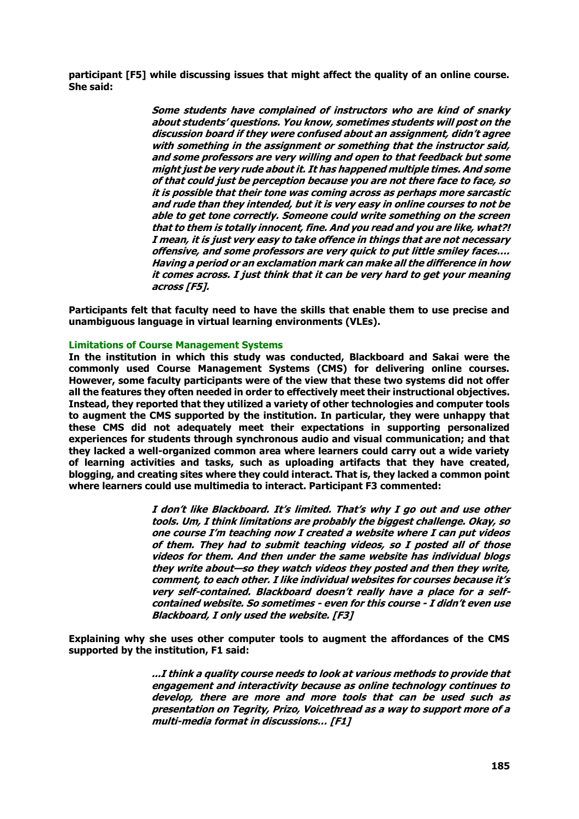**participant [F5] while discussing issues that might affect the quality of an online course. She said:** 

> **Some students have complained of instructors who are kind of snarky about students' questions. You know, sometimes students will post on the discussion board if they were confused about an assignment, didn't agree with something in the assignment or something that the instructor said, and some professors are very willing and open to that feedback but some might just be very rude about it. It has happened multiple times. And some of that could just be perception because you are not there face to face, so it is possible that their tone was coming across as perhaps more sarcastic and rude than they intended, but it is very easy in online courses to not be able to get tone correctly. Someone could write something on the screen that to them is totally innocent, fine. And you read and you are like, what?! I mean, it is just very easy to take offence in things that are not necessary offensive, and some professors are very quick to put little smiley faces…. Having a period or an exclamation mark can make all the difference in how it comes across. I just think that it can be very hard to get your meaning across [F5].**

**Participants felt that faculty need to have the skills that enable them to use precise and unambiguous language in virtual learning environments (VLEs).**

## **Limitations of Course Management Systems**

**In the institution in which this study was conducted, Blackboard and Sakai were the commonly used Course Management Systems (CMS) for delivering online courses. However, some faculty participants were of the view that these two systems did not offer all the features they often needed in order to effectively meet their instructional objectives. Instead, they reported that they utilized a variety of other technologies and computer tools to augment the CMS supported by the institution. In particular, they were unhappy that these CMS did not adequately meet their expectations in supporting personalized experiences for students through synchronous audio and visual communication; and that they lacked a well-organized common area where learners could carry out a wide variety of learning activities and tasks, such as uploading artifacts that they have created, blogging, and creating sites where they could interact. That is, they lacked a common point where learners could use multimedia to interact. Participant F3 commented:**

> **I don't like Blackboard. It's limited. That's why I go out and use other tools. Um, I think limitations are probably the biggest challenge. Okay, so one course I'm teaching now I created a website where I can put videos of them. They had to submit teaching videos, so I posted all of those videos for them. And then under the same website has individual blogs they write about—so they watch videos they posted and then they write, comment, to each other. I like individual websites for courses because it's very self-contained. Blackboard doesn't really have a place for a selfcontained website. So sometimes - even for this course - I didn't even use Blackboard, I only used the website. [F3]**

**Explaining why she uses other computer tools to augment the affordances of the CMS supported by the institution, F1 said:**

> **...I think a quality course needs to look at various methods to provide that engagement and interactivity because as online technology continues to develop, there are more and more tools that can be used such as presentation on Tegrity, Prizo, Voicethread as a way to support more of a multi-media format in discussions… [F1]**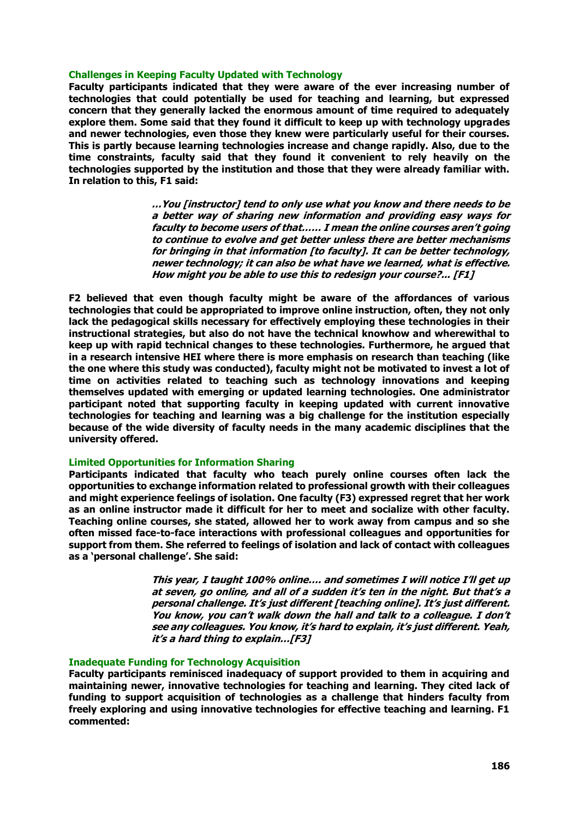#### **Challenges in Keeping Faculty Updated with Technology**

**Faculty participants indicated that they were aware of the ever increasing number of technologies that could potentially be used for teaching and learning, but expressed concern that they generally lacked the enormous amount of time required to adequately explore them. Some said that they found it difficult to keep up with technology upgrades and newer technologies, even those they knew were particularly useful for their courses. This is partly because learning technologies increase and change rapidly. Also, due to the time constraints, faculty said that they found it convenient to rely heavily on the technologies supported by the institution and those that they were already familiar with. In relation to this, F1 said:**

> **…You [instructor] tend to only use what you know and there needs to be a better way of sharing new information and providing easy ways for faculty to become users of that…… I mean the online courses aren't going to continue to evolve and get better unless there are better mechanisms for bringing in that information [to faculty]. It can be better technology, newer technology; it can also be what have we learned, what is effective. How might you be able to use this to redesign your course?... [F1]**

**F2 believed that even though faculty might be aware of the affordances of various technologies that could be appropriated to improve online instruction, often, they not only lack the pedagogical skills necessary for effectively employing these technologies in their instructional strategies, but also do not have the technical knowhow and wherewithal to keep up with rapid technical changes to these technologies. Furthermore, he argued that in a research intensive HEI where there is more emphasis on research than teaching (like the one where this study was conducted), faculty might not be motivated to invest a lot of time on activities related to teaching such as technology innovations and keeping themselves updated with emerging or updated learning technologies. One administrator participant noted that supporting faculty in keeping updated with current innovative technologies for teaching and learning was a big challenge for the institution especially because of the wide diversity of faculty needs in the many academic disciplines that the university offered.** 

## **Limited Opportunities for Information Sharing**

**Participants indicated that faculty who teach purely online courses often lack the opportunities to exchange information related to professional growth with their colleagues and might experience feelings of isolation. One faculty (F3) expressed regret that her work as an online instructor made it difficult for her to meet and socialize with other faculty. Teaching online courses, she stated, allowed her to work away from campus and so she often missed face-to-face interactions with professional colleagues and opportunities for support from them. She referred to feelings of isolation and lack of contact with colleagues as a 'personal challenge'. She said:**

> **This year, I taught 100% online…. and sometimes I will notice I'll get up at seven, go online, and all of a sudden it's ten in the night. But that's a personal challenge. It's just different [teaching online]. It's just different. You know, you can't walk down the hall and talk to a colleague. I don't see any colleagues. You know, it's hard to explain, it's just different. Yeah, it's a hard thing to explain…[F3]**

#### **Inadequate Funding for Technology Acquisition**

**Faculty participants reminisced inadequacy of support provided to them in acquiring and maintaining newer, innovative technologies for teaching and learning. They cited lack of funding to support acquisition of technologies as a challenge that hinders faculty from freely exploring and using innovative technologies for effective teaching and learning. F1 commented:**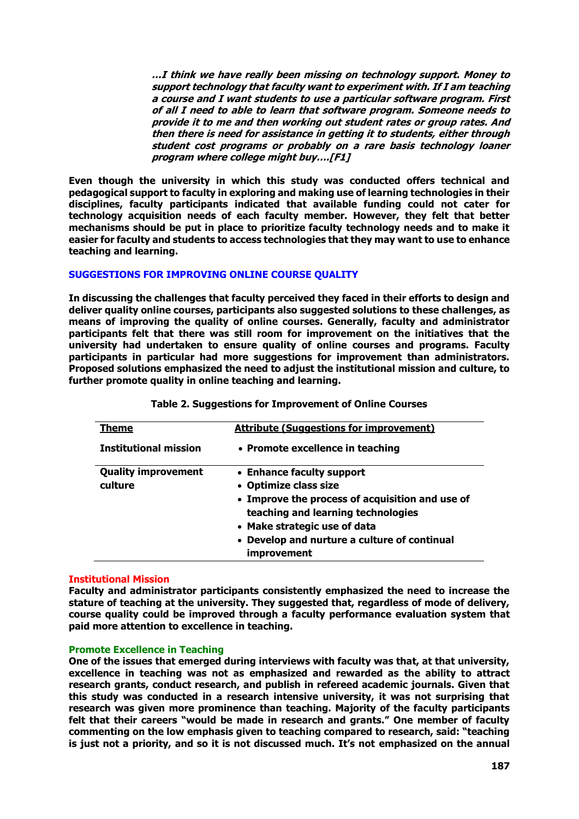**…I think we have really been missing on technology support. Money to support technology that faculty want to experiment with. If I am teaching a course and I want students to use a particular software program. First of all I need to able to learn that software program. Someone needs to provide it to me and then working out student rates or group rates. And then there is need for assistance in getting it to students, either through student cost programs or probably on a rare basis technology loaner program where college might buy….[F1]**

**Even though the university in which this study was conducted offers technical and pedagogical support to faculty in exploring and making use of learning technologies in their disciplines, faculty participants indicated that available funding could not cater for technology acquisition needs of each faculty member. However, they felt that better mechanisms should be put in place to prioritize faculty technology needs and to make it easier for faculty and students to access technologies that they may want to use to enhance teaching and learning.** 

## **SUGGESTIONS FOR IMPROVING ONLINE COURSE QUALITY**

**In discussing the challenges that faculty perceived they faced in their efforts to design and deliver quality online courses, participants also suggested solutions to these challenges, as means of improving the quality of online courses. Generally, faculty and administrator participants felt that there was still room for improvement on the initiatives that the university had undertaken to ensure quality of online courses and programs. Faculty participants in particular had more suggestions for improvement than administrators. Proposed solutions emphasized the need to adjust the institutional mission and culture, to further promote quality in online teaching and learning.**

| Theme                                 | <b>Attribute (Suggestions for improvement)</b>                                                                                                                                                                                             |
|---------------------------------------|--------------------------------------------------------------------------------------------------------------------------------------------------------------------------------------------------------------------------------------------|
| <b>Institutional mission</b>          | • Promote excellence in teaching                                                                                                                                                                                                           |
| <b>Quality improvement</b><br>culture | • Enhance faculty support<br>• Optimize class size<br>• Improve the process of acquisition and use of<br>teaching and learning technologies<br>• Make strategic use of data<br>• Develop and nurture a culture of continual<br>improvement |

#### **Table 2. Suggestions for Improvement of Online Courses**

#### **Institutional Mission**

**Faculty and administrator participants consistently emphasized the need to increase the stature of teaching at the university. They suggested that, regardless of mode of delivery, course quality could be improved through a faculty performance evaluation system that paid more attention to excellence in teaching.** 

## **Promote Excellence in Teaching**

**One of the issues that emerged during interviews with faculty was that, at that university, excellence in teaching was not as emphasized and rewarded as the ability to attract research grants, conduct research, and publish in refereed academic journals. Given that this study was conducted in a research intensive university, it was not surprising that research was given more prominence than teaching. Majority of the faculty participants felt that their careers "would be made in research and grants." One member of faculty commenting on the low emphasis given to teaching compared to research, said: "teaching is just not a priority, and so it is not discussed much. It's not emphasized on the annual**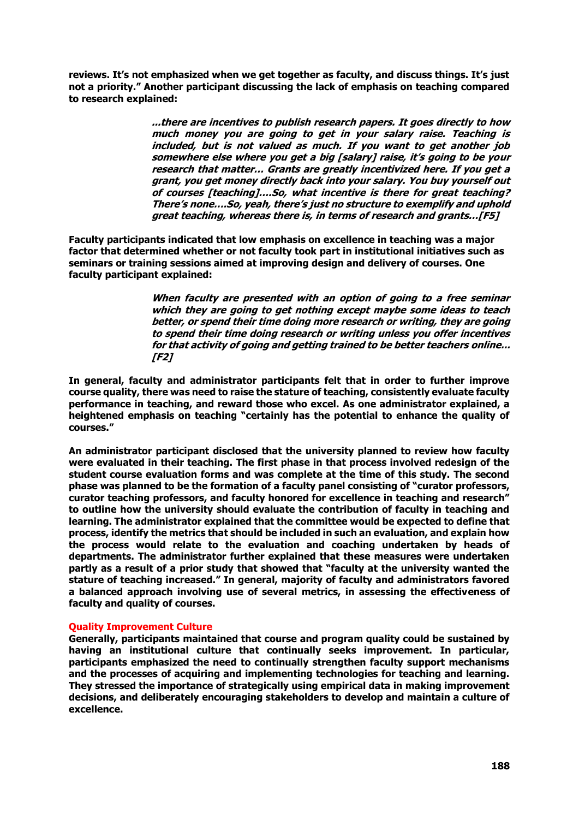**reviews. It's not emphasized when we get together as faculty, and discuss things. It's just not a priority." Another participant discussing the lack of emphasis on teaching compared to research explained:**

> **...there are incentives to publish research papers. It goes directly to how much money you are going to get in your salary raise. Teaching is included, but is not valued as much. If you want to get another job somewhere else where you get a big [salary] raise, it's going to be your research that matter… Grants are greatly incentivized here. If you get a grant, you get money directly back into your salary. You buy yourself out of courses [teaching]….So, what incentive is there for great teaching? There's none….So, yeah, there's just no structure to exemplify and uphold great teaching, whereas there is, in terms of research and grants…[F5]**

**Faculty participants indicated that low emphasis on excellence in teaching was a major factor that determined whether or not faculty took part in institutional initiatives such as seminars or training sessions aimed at improving design and delivery of courses. One faculty participant explained:**

> **When faculty are presented with an option of going to a free seminar which they are going to get nothing except maybe some ideas to teach better, or spend their time doing more research or writing, they are going to spend their time doing research or writing unless you offer incentives for that activity of going and getting trained to be better teachers online... [F2]**

**In general, faculty and administrator participants felt that in order to further improve course quality, there was need to raise the stature of teaching, consistently evaluate faculty performance in teaching, and reward those who excel. As one administrator explained, a heightened emphasis on teaching "certainly has the potential to enhance the quality of courses."** 

**An administrator participant disclosed that the university planned to review how faculty were evaluated in their teaching. The first phase in that process involved redesign of the student course evaluation forms and was complete at the time of this study. The second phase was planned to be the formation of a faculty panel consisting of "curator professors, curator teaching professors, and faculty honored for excellence in teaching and research" to outline how the university should evaluate the contribution of faculty in teaching and learning. The administrator explained that the committee would be expected to define that process, identify the metrics that should be included in such an evaluation, and explain how the process would relate to the evaluation and coaching undertaken by heads of departments. The administrator further explained that these measures were undertaken partly as a result of a prior study that showed that "faculty at the university wanted the stature of teaching increased." In general, majority of faculty and administrators favored a balanced approach involving use of several metrics, in assessing the effectiveness of faculty and quality of courses.** 

#### **Quality Improvement Culture**

**Generally, participants maintained that course and program quality could be sustained by having an institutional culture that continually seeks improvement. In particular, participants emphasized the need to continually strengthen faculty support mechanisms and the processes of acquiring and implementing technologies for teaching and learning. They stressed the importance of strategically using empirical data in making improvement decisions, and deliberately encouraging stakeholders to develop and maintain a culture of excellence.**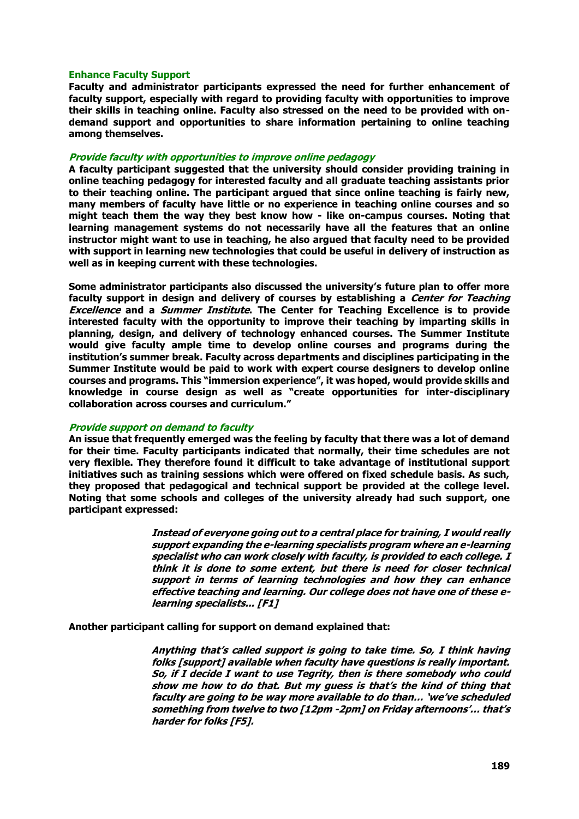#### **Enhance Faculty Support**

**Faculty and administrator participants expressed the need for further enhancement of faculty support, especially with regard to providing faculty with opportunities to improve their skills in teaching online. Faculty also stressed on the need to be provided with ondemand support and opportunities to share information pertaining to online teaching among themselves.**

#### **Provide faculty with opportunities to improve online pedagogy**

**A faculty participant suggested that the university should consider providing training in online teaching pedagogy for interested faculty and all graduate teaching assistants prior to their teaching online. The participant argued that since online teaching is fairly new, many members of faculty have little or no experience in teaching online courses and so might teach them the way they best know how - like on-campus courses. Noting that learning management systems do not necessarily have all the features that an online instructor might want to use in teaching, he also argued that faculty need to be provided with support in learning new technologies that could be useful in delivery of instruction as well as in keeping current with these technologies.** 

**Some administrator participants also discussed the university's future plan to offer more faculty support in design and delivery of courses by establishing a Center for Teaching Excellence and a Summer Institute. The Center for Teaching Excellence is to provide interested faculty with the opportunity to improve their teaching by imparting skills in planning, design, and delivery of technology enhanced courses. The Summer Institute would give faculty ample time to develop online courses and programs during the institution's summer break. Faculty across departments and disciplines participating in the Summer Institute would be paid to work with expert course designers to develop online courses and programs. This "immersion experience", it was hoped, would provide skills and knowledge in course design as well as "create opportunities for inter-disciplinary collaboration across courses and curriculum."**

#### **Provide support on demand to faculty**

**An issue that frequently emerged was the feeling by faculty that there was a lot of demand for their time. Faculty participants indicated that normally, their time schedules are not very flexible. They therefore found it difficult to take advantage of institutional support initiatives such as training sessions which were offered on fixed schedule basis. As such, they proposed that pedagogical and technical support be provided at the college level. Noting that some schools and colleges of the university already had such support, one participant expressed:** 

> **Instead of everyone going out to a central place for training, I would really support expanding the e-learning specialists program where an e-learning specialist who can work closely with faculty, is provided to each college. I think it is done to some extent, but there is need for closer technical support in terms of learning technologies and how they can enhance effective teaching and learning. Our college does not have one of these elearning specialists... [F1]**

#### **Another participant calling for support on demand explained that:**

**Anything that's called support is going to take time. So, I think having folks [support] available when faculty have questions is really important. So, if I decide I want to use Tegrity, then is there somebody who could show me how to do that. But my guess is that's the kind of thing that faculty are going to be way more available to do than… 'we've scheduled something from twelve to two [12pm -2pm] on Friday afternoons'… that's harder for folks [F5].**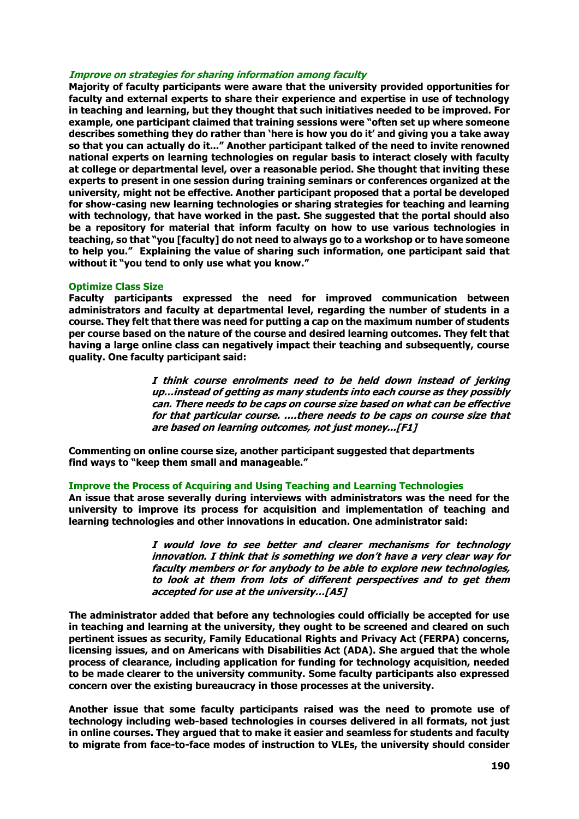## **Improve on strategies for sharing information among faculty**

**Majority of faculty participants were aware that the university provided opportunities for faculty and external experts to share their experience and expertise in use of technology in teaching and learning, but they thought that such initiatives needed to be improved. For example, one participant claimed that training sessions were "often set up where someone describes something they do rather than 'here is how you do it' and giving you a take away so that you can actually do it..." Another participant talked of the need to invite renowned national experts on learning technologies on regular basis to interact closely with faculty at college or departmental level, over a reasonable period. She thought that inviting these experts to present in one session during training seminars or conferences organized at the university, might not be effective. Another participant proposed that a portal be developed for show-casing new learning technologies or sharing strategies for teaching and learning with technology, that have worked in the past. She suggested that the portal should also be a repository for material that inform faculty on how to use various technologies in teaching, so that "you [faculty] do not need to always go to a workshop or to have someone to help you." Explaining the value of sharing such information, one participant said that without it "you tend to only use what you know."** 

#### **Optimize Class Size**

**Faculty participants expressed the need for improved communication between administrators and faculty at departmental level, regarding the number of students in a course. They felt that there was need for putting a cap on the maximum number of students per course based on the nature of the course and desired learning outcomes. They felt that having a large online class can negatively impact their teaching and subsequently, course quality. One faculty participant said:**

> **I think course enrolments need to be held down instead of jerking up…instead of getting as many students into each course as they possibly can. There needs to be caps on course size based on what can be effective for that particular course. ….there needs to be caps on course size that are based on learning outcomes, not just money...[F1]**

**Commenting on online course size, another participant suggested that departments find ways to "keep them small and manageable."** 

#### **Improve the Process of Acquiring and Using Teaching and Learning Technologies**

**An issue that arose severally during interviews with administrators was the need for the university to improve its process for acquisition and implementation of teaching and learning technologies and other innovations in education. One administrator said:**

> **I would love to see better and clearer mechanisms for technology innovation. I think that is something we don't have a very clear way for faculty members or for anybody to be able to explore new technologies, to look at them from lots of different perspectives and to get them accepted for use at the university…[A5]**

**The administrator added that before any technologies could officially be accepted for use in teaching and learning at the university, they ought to be screened and cleared on such pertinent issues as security, Family Educational Rights and Privacy Act (FERPA) concerns, licensing issues, and on Americans with Disabilities Act (ADA). She argued that the whole process of clearance, including application for funding for technology acquisition, needed to be made clearer to the university community. Some faculty participants also expressed concern over the existing bureaucracy in those processes at the university.** 

**Another issue that some faculty participants raised was the need to promote use of technology including web-based technologies in courses delivered in all formats, not just in online courses. They argued that to make it easier and seamless for students and faculty to migrate from face-to-face modes of instruction to VLEs, the university should consider**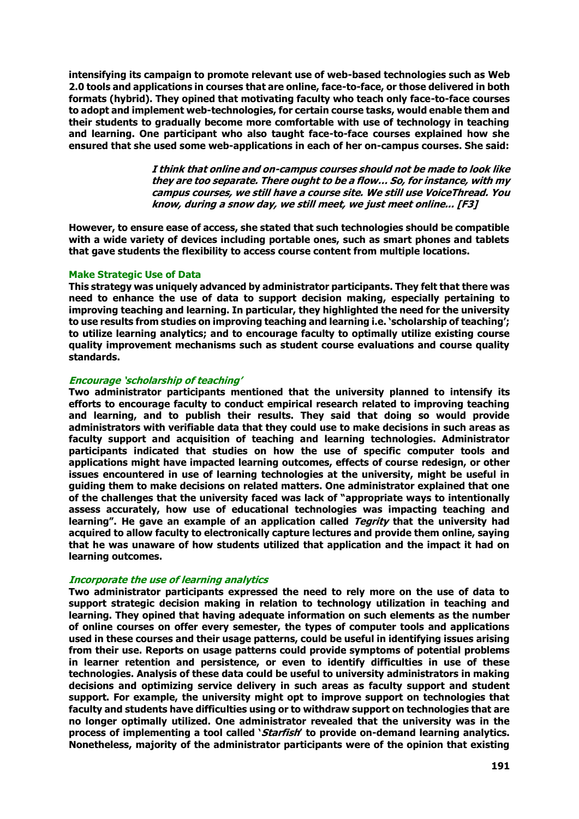**intensifying its campaign to promote relevant use of web-based technologies such as Web 2.0 tools and applications in courses that are online, face-to-face, or those delivered in both formats (hybrid). They opined that motivating faculty who teach only face-to-face courses to adopt and implement web-technologies, for certain course tasks, would enable them and their students to gradually become more comfortable with use of technology in teaching and learning. One participant who also taught face-to-face courses explained how she ensured that she used some web-applications in each of her on-campus courses. She said:**

> **I think that online and on-campus courses should not be made to look like they are too separate. There ought to be a flow… So, for instance, with my campus courses, we still have a course site. We still use VoiceThread. You know, during a snow day, we still meet, we just meet online... [F3]**

**However, to ensure ease of access, she stated that such technologies should be compatible with a wide variety of devices including portable ones, such as smart phones and tablets that gave students the flexibility to access course content from multiple locations.** 

#### **Make Strategic Use of Data**

**This strategy was uniquely advanced by administrator participants. They felt that there was need to enhance the use of data to support decision making, especially pertaining to improving teaching and learning. In particular, they highlighted the need for the university to use results from studies on improving teaching and learning i.e. 'scholarship of teaching'; to utilize learning analytics; and to encourage faculty to optimally utilize existing course quality improvement mechanisms such as student course evaluations and course quality standards.**

## **Encourage 'scholarship of teaching'**

**Two administrator participants mentioned that the university planned to intensify its efforts to encourage faculty to conduct empirical research related to improving teaching and learning, and to publish their results. They said that doing so would provide administrators with verifiable data that they could use to make decisions in such areas as faculty support and acquisition of teaching and learning technologies. Administrator participants indicated that studies on how the use of specific computer tools and applications might have impacted learning outcomes, effects of course redesign, or other issues encountered in use of learning technologies at the university, might be useful in guiding them to make decisions on related matters. One administrator explained that one of the challenges that the university faced was lack of "appropriate ways to intentionally assess accurately, how use of educational technologies was impacting teaching and learning". He gave an example of an application called Tegrity that the university had acquired to allow faculty to electronically capture lectures and provide them online, saying that he was unaware of how students utilized that application and the impact it had on learning outcomes.**

# **Incorporate the use of learning analytics**

**Two administrator participants expressed the need to rely more on the use of data to support strategic decision making in relation to technology utilization in teaching and learning. They opined that having adequate information on such elements as the number of online courses on offer every semester, the types of computer tools and applications used in these courses and their usage patterns, could be useful in identifying issues arising from their use. Reports on usage patterns could provide symptoms of potential problems in learner retention and persistence, or even to identify difficulties in use of these technologies. Analysis of these data could be useful to university administrators in making decisions and optimizing service delivery in such areas as faculty support and student support. For example, the university might opt to improve support on technologies that faculty and students have difficulties using or to withdraw support on technologies that are no longer optimally utilized. One administrator revealed that the university was in the process of implementing a tool called 'Starfish' to provide on-demand learning analytics. Nonetheless, majority of the administrator participants were of the opinion that existing**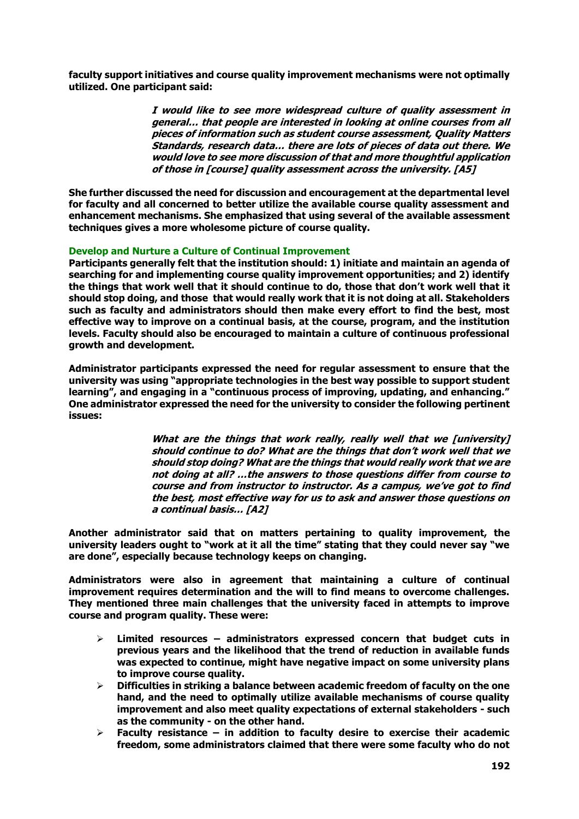**faculty support initiatives and course quality improvement mechanisms were not optimally utilized. One participant said:** 

> **I would like to see more widespread culture of quality assessment in general… that people are interested in looking at online courses from all pieces of information such as student course assessment, Quality Matters Standards, research data… there are lots of pieces of data out there. We would love to see more discussion of that and more thoughtful application of those in [course] quality assessment across the university. [A5]**

**She further discussed the need for discussion and encouragement at the departmental level for faculty and all concerned to better utilize the available course quality assessment and enhancement mechanisms. She emphasized that using several of the available assessment techniques gives a more wholesome picture of course quality.** 

## **Develop and Nurture a Culture of Continual Improvement**

**Participants generally felt that the institution should: 1) initiate and maintain an agenda of searching for and implementing course quality improvement opportunities; and 2) identify the things that work well that it should continue to do, those that don't work well that it should stop doing, and those that would really work that it is not doing at all. Stakeholders such as faculty and administrators should then make every effort to find the best, most effective way to improve on a continual basis, at the course, program, and the institution levels. Faculty should also be encouraged to maintain a culture of continuous professional growth and development.** 

**Administrator participants expressed the need for regular assessment to ensure that the university was using "appropriate technologies in the best way possible to support student learning", and engaging in a "continuous process of improving, updating, and enhancing." One administrator expressed the need for the university to consider the following pertinent issues:**

> **What are the things that work really, really well that we [university] should continue to do? What are the things that don't work well that we should stop doing? What are the things that would really work that we are not doing at all? …the answers to those questions differ from course to course and from instructor to instructor. As a campus, we've got to find the best, most effective way for us to ask and answer those questions on a continual basis… [A2]**

**Another administrator said that on matters pertaining to quality improvement, the university leaders ought to "work at it all the time" stating that they could never say "we are done", especially because technology keeps on changing.** 

**Administrators were also in agreement that maintaining a culture of continual improvement requires determination and the will to find means to overcome challenges. They mentioned three main challenges that the university faced in attempts to improve course and program quality. These were:**

- **Limited resources – administrators expressed concern that budget cuts in previous years and the likelihood that the trend of reduction in available funds was expected to continue, might have negative impact on some university plans to improve course quality.**
- **Difficulties in striking a balance between academic freedom of faculty on the one hand, and the need to optimally utilize available mechanisms of course quality improvement and also meet quality expectations of external stakeholders - such as the community - on the other hand.**
- **Faculty resistance – in addition to faculty desire to exercise their academic freedom, some administrators claimed that there were some faculty who do not**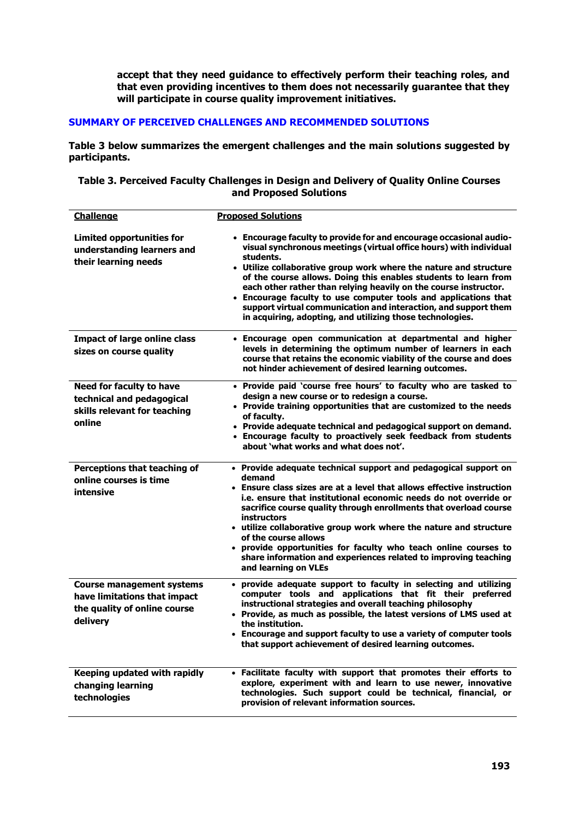**accept that they need guidance to effectively perform their teaching roles, and that even providing incentives to them does not necessarily guarantee that they will participate in course quality improvement initiatives.** 

# **SUMMARY OF PERCEIVED CHALLENGES AND RECOMMENDED SOLUTIONS**

**Table 3 below summarizes the emergent challenges and the main solutions suggested by participants.** 

# **Table 3. Perceived Faculty Challenges in Design and Delivery of Quality Online Courses and Proposed Solutions**

| <b>Challenge</b>                                                                                             | <b>Proposed Solutions</b>                                                                                                                                                                                                                                                                                                                                                                                                                                                                                                                                                    |
|--------------------------------------------------------------------------------------------------------------|------------------------------------------------------------------------------------------------------------------------------------------------------------------------------------------------------------------------------------------------------------------------------------------------------------------------------------------------------------------------------------------------------------------------------------------------------------------------------------------------------------------------------------------------------------------------------|
| <b>Limited opportunities for</b><br>understanding learners and<br>their learning needs                       | • Encourage faculty to provide for and encourage occasional audio-<br>visual synchronous meetings (virtual office hours) with individual<br>students.<br>• Utilize collaborative group work where the nature and structure<br>of the course allows. Doing this enables students to learn from<br>each other rather than relying heavily on the course instructor.<br>• Encourage faculty to use computer tools and applications that<br>support virtual communication and interaction, and support them<br>in acquiring, adopting, and utilizing those technologies.         |
| <b>Impact of large online class</b><br>sizes on course quality                                               | • Encourage open communication at departmental and higher<br>levels in determining the optimum number of learners in each<br>course that retains the economic viability of the course and does<br>not hinder achievement of desired learning outcomes.                                                                                                                                                                                                                                                                                                                       |
| <b>Need for faculty to have</b><br>technical and pedagogical<br>skills relevant for teaching<br>online       | • Provide paid 'course free hours' to faculty who are tasked to<br>design a new course or to redesign a course.<br>• Provide training opportunities that are customized to the needs<br>of faculty.<br>• Provide adequate technical and pedagogical support on demand.<br>• Encourage faculty to proactively seek feedback from students<br>about 'what works and what does not'.                                                                                                                                                                                            |
| Perceptions that teaching of<br>online courses is time<br>intensive                                          | • Provide adequate technical support and pedagogical support on<br>demand<br>• Ensure class sizes are at a level that allows effective instruction<br>i.e. ensure that institutional economic needs do not override or<br>sacrifice course quality through enrollments that overload course<br><b>instructors</b><br>• utilize collaborative group work where the nature and structure<br>of the course allows<br>• provide opportunities for faculty who teach online courses to<br>share information and experiences related to improving teaching<br>and learning on VLEs |
| <b>Course management systems</b><br>have limitations that impact<br>the quality of online course<br>delivery | provide adequate support to faculty in selecting and utilizing<br>$\bullet$<br>computer tools and applications that fit their preferred<br>instructional strategies and overall teaching philosophy<br>• Provide, as much as possible, the latest versions of LMS used at<br>the institution.<br>• Encourage and support faculty to use a variety of computer tools<br>that support achievement of desired learning outcomes.                                                                                                                                                |
| Keeping updated with rapidly<br>changing learning<br>technologies                                            | • Facilitate faculty with support that promotes their efforts to<br>explore, experiment with and learn to use newer, innovative<br>technologies. Such support could be technical, financial, or<br>provision of relevant information sources.                                                                                                                                                                                                                                                                                                                                |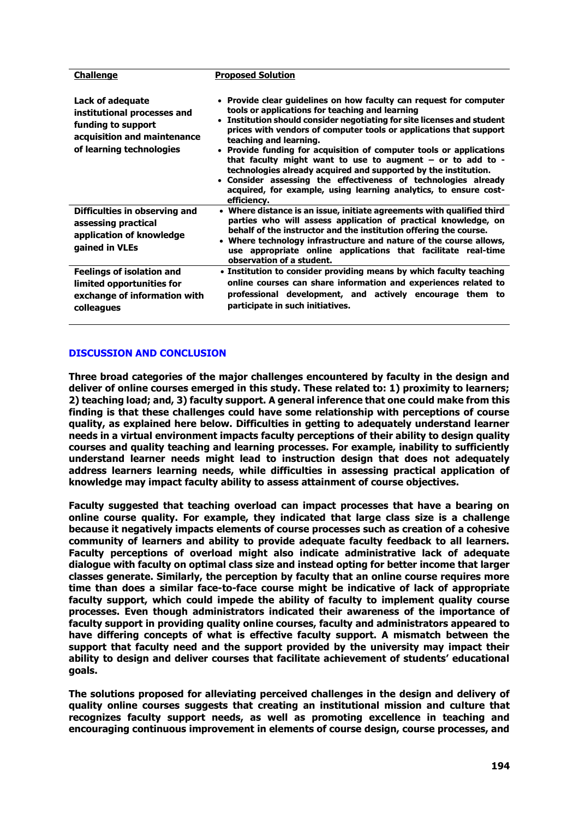| <b>Challenge</b>                                                                                                                 | <b>Proposed Solution</b>                                                                                                                                                                                                                                                                                                                                                                                                                                                                                                                                                                                                                                        |
|----------------------------------------------------------------------------------------------------------------------------------|-----------------------------------------------------------------------------------------------------------------------------------------------------------------------------------------------------------------------------------------------------------------------------------------------------------------------------------------------------------------------------------------------------------------------------------------------------------------------------------------------------------------------------------------------------------------------------------------------------------------------------------------------------------------|
| Lack of adequate<br>institutional processes and<br>funding to support<br>acquisition and maintenance<br>of learning technologies | • Provide clear guidelines on how faculty can request for computer<br>tools or applications for teaching and learning<br>• Institution should consider negotiating for site licenses and student<br>prices with vendors of computer tools or applications that support<br>teaching and learning.<br>• Provide funding for acquisition of computer tools or applications<br>that faculty might want to use to augment $-$ or to add to $-$<br>technologies already acquired and supported by the institution.<br>Consider assessing the effectiveness of technologies already<br>acquired, for example, using learning analytics, to ensure cost-<br>efficiency. |
| Difficulties in observing and<br>assessing practical<br>application of knowledge<br>gained in VLEs                               | Where distance is an issue, initiate agreements with qualified third<br>parties who will assess application of practical knowledge, on<br>behalf of the instructor and the institution offering the course.<br>• Where technology infrastructure and nature of the course allows,<br>use appropriate online applications that facilitate real-time<br>observation of a student.                                                                                                                                                                                                                                                                                 |
| <b>Feelings of isolation and</b><br>limited opportunities for<br>exchange of information with<br>colleagues                      | • Institution to consider providing means by which faculty teaching<br>online courses can share information and experiences related to<br>professional development, and actively encourage them to<br>participate in such initiatives.                                                                                                                                                                                                                                                                                                                                                                                                                          |

# **DISCUSSION AND CONCLUSION**

**Three broad categories of the major challenges encountered by faculty in the design and deliver of online courses emerged in this study. These related to: 1) proximity to learners; 2) teaching load; and, 3) faculty support. A general inference that one could make from this finding is that these challenges could have some relationship with perceptions of course quality, as explained here below. Difficulties in getting to adequately understand learner needs in a virtual environment impacts faculty perceptions of their ability to design quality courses and quality teaching and learning processes. For example, inability to sufficiently understand learner needs might lead to instruction design that does not adequately address learners learning needs, while difficulties in assessing practical application of knowledge may impact faculty ability to assess attainment of course objectives.** 

**Faculty suggested that teaching overload can impact processes that have a bearing on online course quality. For example, they indicated that large class size is a challenge because it negatively impacts elements of course processes such as creation of a cohesive community of learners and ability to provide adequate faculty feedback to all learners. Faculty perceptions of overload might also indicate administrative lack of adequate dialogue with faculty on optimal class size and instead opting for better income that larger classes generate. Similarly, the perception by faculty that an online course requires more time than does a similar face-to-face course might be indicative of lack of appropriate faculty support, which could impede the ability of faculty to implement quality course processes. Even though administrators indicated their awareness of the importance of faculty support in providing quality online courses, faculty and administrators appeared to have differing concepts of what is effective faculty support. A mismatch between the support that faculty need and the support provided by the university may impact their ability to design and deliver courses that facilitate achievement of students' educational goals.** 

**The solutions proposed for alleviating perceived challenges in the design and delivery of quality online courses suggests that creating an institutional mission and culture that recognizes faculty support needs, as well as promoting excellence in teaching and encouraging continuous improvement in elements of course design, course processes, and**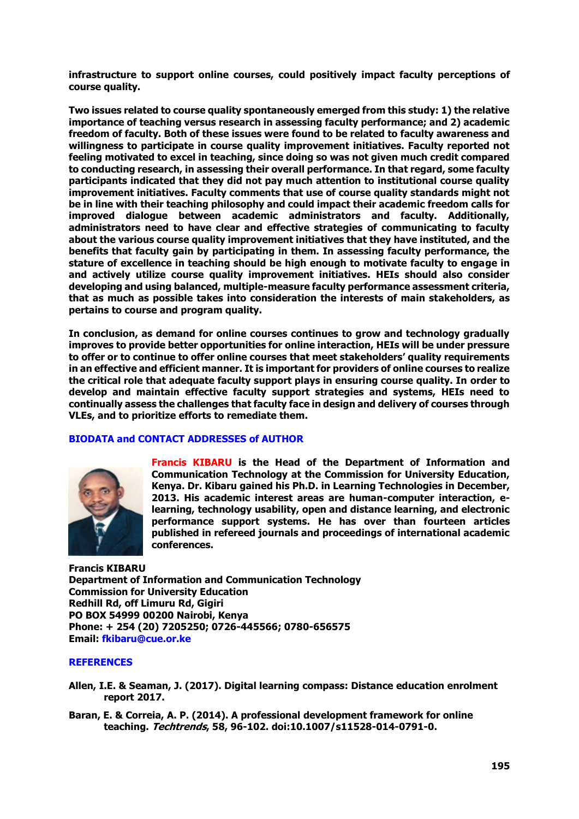**infrastructure to support online courses, could positively impact faculty perceptions of course quality.** 

**Two issues related to course quality spontaneously emerged from this study: 1) the relative importance of teaching versus research in assessing faculty performance; and 2) academic freedom of faculty. Both of these issues were found to be related to faculty awareness and willingness to participate in course quality improvement initiatives. Faculty reported not feeling motivated to excel in teaching, since doing so was not given much credit compared to conducting research, in assessing their overall performance. In that regard, some faculty participants indicated that they did not pay much attention to institutional course quality improvement initiatives. Faculty comments that use of course quality standards might not be in line with their teaching philosophy and could impact their academic freedom calls for improved dialogue between academic administrators and faculty. Additionally, administrators need to have clear and effective strategies of communicating to faculty about the various course quality improvement initiatives that they have instituted, and the benefits that faculty gain by participating in them. In assessing faculty performance, the stature of excellence in teaching should be high enough to motivate faculty to engage in and actively utilize course quality improvement initiatives. HEIs should also consider developing and using balanced, multiple-measure faculty performance assessment criteria, that as much as possible takes into consideration the interests of main stakeholders, as pertains to course and program quality.** 

**In conclusion, as demand for online courses continues to grow and technology gradually improves to provide better opportunities for online interaction, HEIs will be under pressure to offer or to continue to offer online courses that meet stakeholders' quality requirements in an effective and efficient manner. It is important for providers of online courses to realize the critical role that adequate faculty support plays in ensuring course quality. In order to develop and maintain effective faculty support strategies and systems, HEIs need to continually assess the challenges that faculty face in design and delivery of courses through VLEs, and to prioritize efforts to remediate them.** 

# **BIODATA and CONTACT ADDRESSES of AUTHOR**



**Francis KIBARU is the Head of the Department of Information and Communication Technology at the Commission for University Education, Kenya. Dr. Kibaru gained his Ph.D. in Learning Technologies in December, 2013. His academic interest areas are human-computer interaction, elearning, technology usability, open and distance learning, and electronic performance support systems. He has over than fourteen articles published in refereed journals and proceedings of international academic conferences.** 

**Francis KIBARU Department of Information and Communication Technology Commission for University Education Redhill Rd, off Limuru Rd, Gigiri PO BOX 54999 00200 Nairobi, Kenya Phone: + 254 (20) 7205250; 0726-445566; 0780-656575 Email: [fkibaru@cue.or.ke](mailto:fkibaru@cue.or.ke)**

# **REFERENCES**

- **Allen, I.E. & Seaman, J. (2017). Digital learning compass: Distance education enrolment report 2017.**
- **Baran, E. & Correia, A. P. (2014). A professional development framework for online teaching. Techtrends, 58, 96-102. doi:10.1007/s11528-014-0791-0.**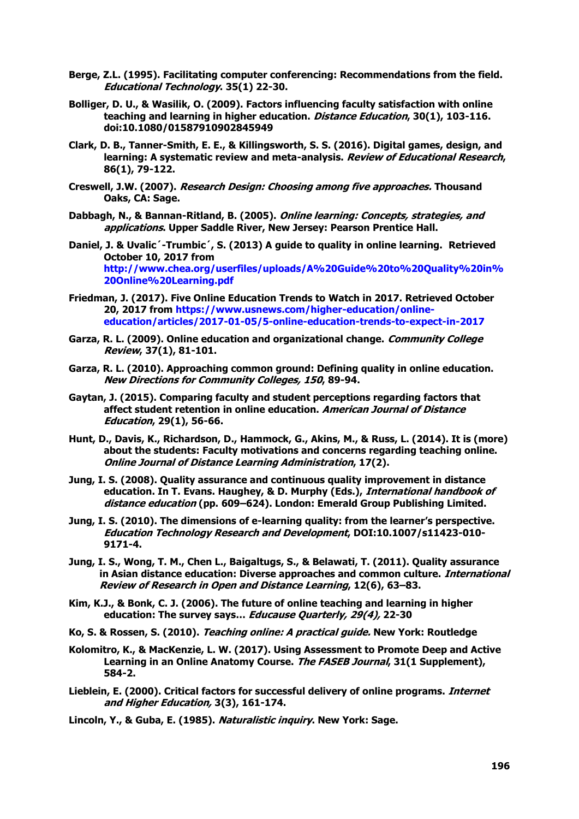- **Berge, Z.L. (1995). Facilitating computer conferencing: Recommendations from the field. Educational Technology. 35(1) 22-30.**
- **Bolliger, D. U., & Wasilik, O. (2009). Factors influencing faculty satisfaction with online teaching and learning in higher education. Distance Education, 30(1), 103-116. doi:10.1080/01587910902845949**
- **Clark, D. B., Tanner-Smith, E. E., & Killingsworth, S. S. (2016). Digital games, design, and learning: A systematic review and meta-analysis. Review of Educational Research, 86(1), 79-122.**
- **Creswell, J.W. (2007). Research Design: Choosing among five approaches. Thousand Oaks, CA: Sage.**
- **Dabbagh, N., & Bannan-Ritland, B. (2005). Online learning: Concepts, strategies, and applications. Upper Saddle River, New Jersey: Pearson Prentice Hall.**
- **Daniel, J. & Uvalic´-Trumbic´, S. (2013) A guide to quality in online learning. Retrieved October 10, 2017 from [http://www.chea.org/userfiles/uploads/A%20Guide%20to%20Quality%20in%](http://www.chea.org/userfiles/uploads/A%20Guide%20to%20Quality%20in%20Online%20Learning.pdf) [20Online%20Learning.pdf](http://www.chea.org/userfiles/uploads/A%20Guide%20to%20Quality%20in%20Online%20Learning.pdf)**
- **Friedman, J. (2017). Five Online Education Trends to Watch in 2017. Retrieved October 20, 2017 from [https://www.usnews.com/higher-education/online](https://www.usnews.com/higher-education/online-education/articles/2017-01-05/5-online-education-trends-to-expect-in-2017)[education/articles/2017-01-05/5-online-education-trends-to-expect-in-2017](https://www.usnews.com/higher-education/online-education/articles/2017-01-05/5-online-education-trends-to-expect-in-2017)**
- **Garza, R. L. (2009). Online education and organizational change. Community College Review, 37(1), 81-101.**
- **Garza, R. L. (2010). Approaching common ground: Defining quality in online education. New Directions for Community Colleges, 150, 89-94.**
- **Gaytan, J. (2015). Comparing faculty and student perceptions regarding factors that affect student retention in online education. American Journal of Distance Education, 29(1), 56-66.**
- **Hunt, D., Davis, K., Richardson, D., Hammock, G., Akins, M., & Russ, L. (2014). It is (more) about the students: Faculty motivations and concerns regarding teaching online. Online Journal of Distance Learning Administration, 17(2).**
- **Jung, I. S. (2008). Quality assurance and continuous quality improvement in distance education. In T. Evans. Haughey, & D. Murphy (Eds.), International handbook of distance education (pp. 609–624). London: Emerald Group Publishing Limited.**
- **Jung, I. S. (2010). The dimensions of e-learning quality: from the learner's perspective. Education Technology Research and Development, DOI:10.1007/s11423-010- 9171-4.**
- **Jung, I. S., Wong, T. M., Chen L., Baigaltugs, S., & Belawati, T. (2011). Quality assurance in Asian distance education: Diverse approaches and common culture. International Review of Research in Open and Distance Learning, 12(6), 63–83.**
- **Kim, K.J., & Bonk, C. J. (2006). The future of online teaching and learning in higher education: The survey says… Educause Quarterly, 29(4), 22-30**

**Ko, S. & Rossen, S. (2010). Teaching online: A practical guide. New York: Routledge**

- **Kolomitro, K., & MacKenzie, L. W. (2017). Using Assessment to Promote Deep and Active Learning in an Online Anatomy Course. The FASEB Journal, 31(1 Supplement), 584-2.**
- **Lieblein, E. (2000). Critical factors for successful delivery of online programs. Internet and Higher Education, 3(3), 161-174.**
- **Lincoln, Y., & Guba, E. (1985). Naturalistic inquiry. New York: Sage.**